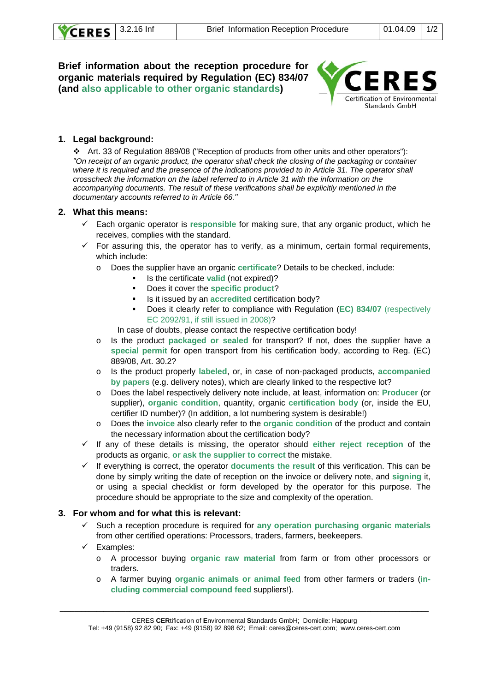## **Brief information about the reception procedure for organic materials required by Regulation (EC) 834/07 (and also applicable to other organic standards)**



# **1. Legal background:**

 Art. 33 of Regulation 889/08 ("Reception of products from other units and other operators"): *"On receipt of an organic product, the operator shall check the closing of the packaging or container*  where it is required and the presence of the indications provided to in Article 31. The operator shall *crosscheck the information on the label referred to in Article 31 with the information on the accompanying documents. The result of these verifications shall be explicitly mentioned in the documentary accounts referred to in Article 66."* 

#### **2. What this means:**

- 9 Each organic operator is **responsible** for making sure, that any organic product, which he receives, complies with the standard.
- $\checkmark$  For assuring this, the operator has to verify, as a minimum, certain formal requirements, which include:
	- o Does the supplier have an organic **certificate**? Details to be checked, include:
		- **If** Is the certificate **valid** (not expired)?
		- Does it cover the **specific product**?
		- Is it issued by an **accredited** certification body?
		- Does it clearly refer to compliance with Regulation (**EC) 834/07** (respectively EC 2092/91, if still issued in 2008)?

In case of doubts, please contact the respective certification body!

- o Is the product **packaged or sealed** for transport? If not, does the supplier have a **special permit** for open transport from his certification body, according to Reg. (EC) 889/08, Art. 30.2?
- o Is the product properly **labeled**, or, in case of non-packaged products, **accompanied by papers** (e.g. delivery notes), which are clearly linked to the respective lot?
- o Does the label respectively delivery note include, at least, information on: **Producer** (or supplier), **organic condition**, quantity, organic **certification body** (or, inside the EU, certifier ID number)? (In addition, a lot numbering system is desirable!)
- o Does the **invoice** also clearly refer to the **organic condition** of the product and contain the necessary information about the certification body?
- $\checkmark$  If any of these details is missing, the operator should either reject reception of the products as organic, **or ask the supplier to correct** the mistake.
- 9 If everything is correct, the operator **documents the result** of this verification. This can be done by simply writing the date of reception on the invoice or delivery note, and **signing** it, or using a special checklist or form developed by the operator for this purpose. The procedure should be appropriate to the size and complexity of the operation.

#### **3. For whom and for what this is relevant:**

- 9 Such a reception procedure is required for **any operation purchasing organic materials** from other certified operations: Processors, traders, farmers, beekeepers.
- Examples:
	- o A processor buying **organic raw material** from farm or from other processors or traders.
	- o A farmer buying **organic animals or animal feed** from other farmers or traders (**including commercial compound feed** suppliers!).

CERES **CER**tification of **E**nvironmental **S**tandards GmbH; Domicile: Happurg

\_\_\_\_\_\_\_\_\_\_\_\_\_\_\_\_\_\_\_\_\_\_\_\_\_\_\_\_\_\_\_\_\_\_\_\_\_\_\_\_\_\_\_\_\_\_\_\_\_\_\_\_\_\_\_\_\_\_\_\_\_\_\_\_\_\_\_\_\_\_\_\_\_\_\_\_\_\_\_\_\_\_\_\_\_\_\_\_\_\_\_\_\_\_\_\_\_\_\_\_\_